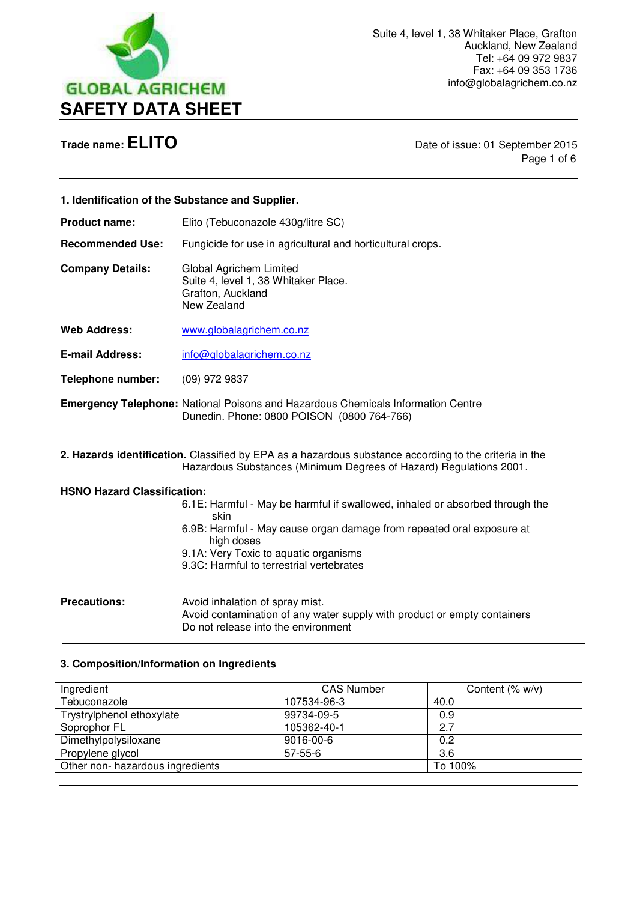

**Trade name: ELITO Date of issue: 01 September 2015** Page 1 of 6

|                                    | 1. Identification of the Substance and Supplier.                                                                                                                             |
|------------------------------------|------------------------------------------------------------------------------------------------------------------------------------------------------------------------------|
| <b>Product name:</b>               | Elito (Tebuconazole 430g/litre SC)                                                                                                                                           |
| <b>Recommended Use:</b>            | Fungicide for use in agricultural and horticultural crops.                                                                                                                   |
| <b>Company Details:</b>            | Global Agrichem Limited<br>Suite 4, level 1, 38 Whitaker Place.<br>Grafton, Auckland<br>New Zealand                                                                          |
| <b>Web Address:</b>                | www.globalagrichem.co.nz                                                                                                                                                     |
| <b>E-mail Address:</b>             | info@globalagrichem.co.nz                                                                                                                                                    |
| <b>Telephone number:</b>           | (09) 972 9837                                                                                                                                                                |
|                                    | <b>Emergency Telephone: National Poisons and Hazardous Chemicals Information Centre</b><br>Dunedin. Phone: 0800 POISON (0800 764-766)                                        |
|                                    | 2. Hazards identification. Classified by EPA as a hazardous substance according to the criteria in the<br>Hazardous Substances (Minimum Degrees of Hazard) Regulations 2001. |
| <b>HSNO Hazard Classification:</b> |                                                                                                                                                                              |
|                                    | 6.1E: Harmful - May be harmful if swallowed, inhaled or absorbed through the<br>skin                                                                                         |
|                                    | 6.9B: Harmful - May cause organ damage from repeated oral exposure at<br>high doses<br>9.1A: Very Toxic to aquatic organisms<br>9.3C: Harmful to terrestrial vertebrates     |
| Precautions:                       | Avoid inhalation of spray mist                                                                                                                                               |

**Precautions:** Avoid inhalation of spray mist. Avoid contamination of any water supply with product or empty containers Do not release into the environment

# **3. Composition/Information on Ingredients**

 $\overline{a}$ 

| Ingredient                       | <b>CAS Number</b> | Content $(\% w/v)$ |
|----------------------------------|-------------------|--------------------|
| Tebuconazole                     | 107534-96-3       | 40.0               |
| Trystrylphenol ethoxylate        | 99734-09-5        | 0.9                |
| Soprophor FL                     | 105362-40-1       | 2.7                |
| Dimethylpolysiloxane             | 9016-00-6         | 0.2                |
| Propylene glycol                 | $57-55-6$         | 3.6                |
| Other non- hazardous ingredients |                   | To 100%            |
|                                  |                   |                    |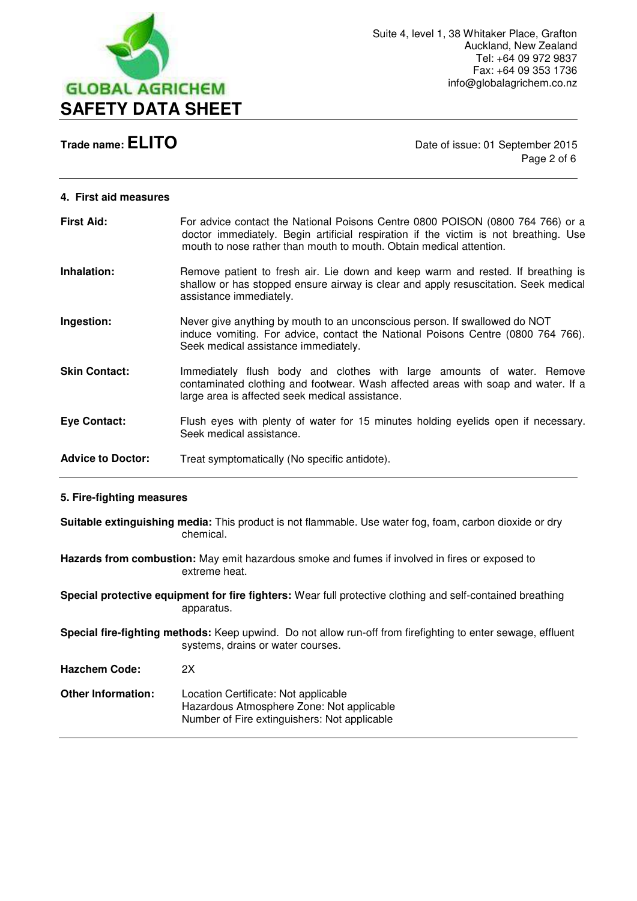

# **Trade name: ELITO** Date of issue: 01 September 2015

Page 2 of 6

### **4. First aid measures**

| <b>First Aid:</b>        | For advice contact the National Poisons Centre 0800 POISON (0800 764 766) or a<br>doctor immediately. Begin artificial respiration if the victim is not breathing. Use<br>mouth to nose rather than mouth to mouth. Obtain medical attention. |
|--------------------------|-----------------------------------------------------------------------------------------------------------------------------------------------------------------------------------------------------------------------------------------------|
| Inhalation:              | Remove patient to fresh air. Lie down and keep warm and rested. If breathing is<br>shallow or has stopped ensure airway is clear and apply resuscitation. Seek medical<br>assistance immediately.                                             |
| Ingestion:               | Never give anything by mouth to an unconscious person. If swallowed do NOT<br>induce vomiting. For advice, contact the National Poisons Centre (0800 764 766).<br>Seek medical assistance immediately.                                        |
| <b>Skin Contact:</b>     | Immediately flush body and clothes with large amounts of water. Remove<br>contaminated clothing and footwear. Wash affected areas with soap and water. If a<br>large area is affected seek medical assistance.                                |
| Eye Contact:             | Flush eyes with plenty of water for 15 minutes holding eyelids open if necessary.<br>Seek medical assistance.                                                                                                                                 |
| <b>Advice to Doctor:</b> | Treat symptomatically (No specific antidote).                                                                                                                                                                                                 |

# **5. Fire-fighting measures**

**Suitable extinguishing media:** This product is not flammable. Use water fog, foam, carbon dioxide or dry chemical.

**Hazards from combustion:** May emit hazardous smoke and fumes if involved in fires or exposed to extreme heat.

**Special protective equipment for fire fighters:** Wear full protective clothing and self-contained breathing apparatus.

**Special fire-fighting methods:** Keep upwind. Do not allow run-off from firefighting to enter sewage, effluent systems, drains or water courses.

**Hazchem Code:** 2X

**Other Information:** Location Certificate: Not applicable Hazardous Atmosphere Zone: Not applicable Number of Fire extinguishers: Not applicable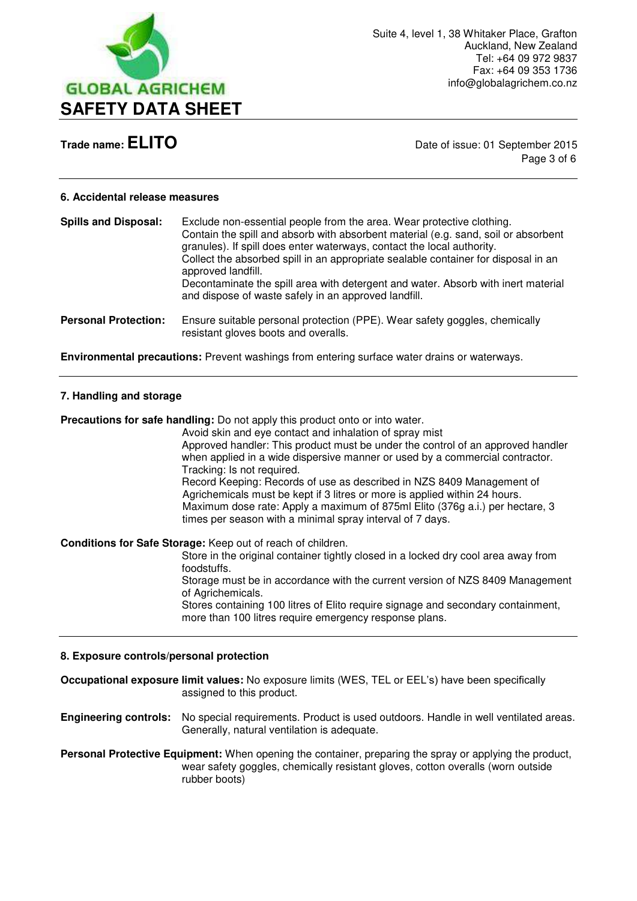

**Trade name: ELITO** Date of issue: 01 September 2015 Page 3 of 6

# **6. Accidental release measures**

| <b>Spills and Disposal:</b> | Exclude non-essential people from the area. Wear protective clothing.<br>Contain the spill and absorb with absorbent material (e.g. sand, soil or absorbent<br>granules). If spill does enter waterways, contact the local authority.<br>Collect the absorbed spill in an appropriate sealable container for disposal in an<br>approved landfill.<br>Decontaminate the spill area with detergent and water. Absorb with inert material<br>and dispose of waste safely in an approved landfill. |
|-----------------------------|------------------------------------------------------------------------------------------------------------------------------------------------------------------------------------------------------------------------------------------------------------------------------------------------------------------------------------------------------------------------------------------------------------------------------------------------------------------------------------------------|
| <b>Personal Protection:</b> | Ensure suitable personal protection (PPE). Wear safety goggles, chemically<br>resistant gloves boots and overalls.                                                                                                                                                                                                                                                                                                                                                                             |

**Environmental precautions:** Prevent washings from entering surface water drains or waterways.

# **7. Handling and storage**

**Precautions for safe handling:** Do not apply this product onto or into water.

Avoid skin and eye contact and inhalation of spray mist Approved handler: This product must be under the control of an approved handler when applied in a wide dispersive manner or used by a commercial contractor. Tracking: Is not required. Record Keeping: Records of use as described in NZS 8409 Management of Agrichemicals must be kept if 3 litres or more is applied within 24 hours. Maximum dose rate: Apply a maximum of 875ml Elito (376g a.i.) per hectare, 3

times per season with a minimal spray interval of 7 days.

**Conditions for Safe Storage:** Keep out of reach of children.

 Store in the original container tightly closed in a locked dry cool area away from foodstuffs.

 Storage must be in accordance with the current version of NZS 8409 Management of Agrichemicals.

 Stores containing 100 litres of Elito require signage and secondary containment, more than 100 litres require emergency response plans.

# **8. Exposure controls/personal protection**

**Occupational exposure limit values:** No exposure limits (WES, TEL or EEL's) have been specifically assigned to this product.

**Engineering controls:** No special requirements. Product is used outdoors. Handle in well ventilated areas. Generally, natural ventilation is adequate.

**Personal Protective Equipment:** When opening the container, preparing the spray or applying the product, wear safety goggles, chemically resistant gloves, cotton overalls (worn outside rubber boots)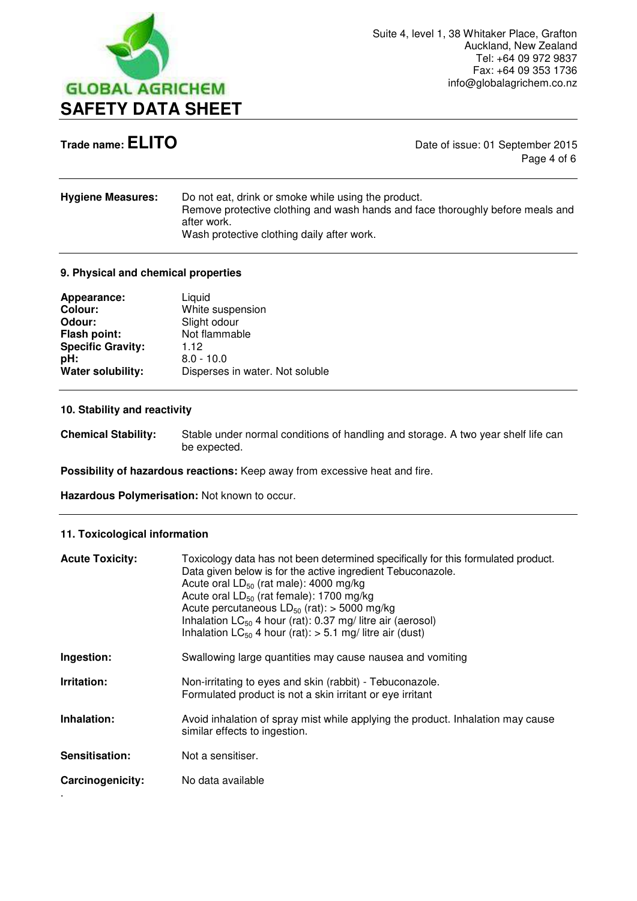

**Trade name: ELITO Date of issue: 01 September 2015** Page 4 of 6

| Do not eat, drink or smoke while using the product.<br>Remove protective clothing and wash hands and face thoroughly before meals and<br>after work. |
|------------------------------------------------------------------------------------------------------------------------------------------------------|
| Wash protective clothing daily after work.                                                                                                           |
|                                                                                                                                                      |

# **9. Physical and chemical properties**

| Appearance:              | Liquid                          |
|--------------------------|---------------------------------|
| <b>Colour:</b>           | White suspension                |
| Odour:                   | Slight odour                    |
| <b>Flash point:</b>      | Not flammable                   |
| <b>Specific Gravity:</b> | 1.12                            |
| pH:                      | $8.0 - 10.0$                    |
| Water solubility:        | Disperses in water. Not soluble |

# **10. Stability and reactivity**

**Chemical Stability:** Stable under normal conditions of handling and storage. A two year shelf life can be expected.

**Possibility of hazardous reactions:** Keep away from excessive heat and fire.

**Hazardous Polymerisation:** Not known to occur.

### **11. Toxicological information**

| <b>Acute Toxicity:</b> | Toxicology data has not been determined specifically for this formulated product.<br>Data given below is for the active ingredient Tebuconazole.<br>Acute oral $LD_{50}$ (rat male): 4000 mg/kg<br>Acute oral $LD_{50}$ (rat female): 1700 mg/kg<br>Acute percutaneous $LD_{50}$ (rat): > 5000 mg/kg<br>Inhalation $LC_{50}$ 4 hour (rat): 0.37 mg/ litre air (aerosol)<br>Inhalation $LC_{50}$ 4 hour (rat): $> 5.1$ mg/ litre air (dust) |
|------------------------|--------------------------------------------------------------------------------------------------------------------------------------------------------------------------------------------------------------------------------------------------------------------------------------------------------------------------------------------------------------------------------------------------------------------------------------------|
| Ingestion:             | Swallowing large quantities may cause nausea and vomiting                                                                                                                                                                                                                                                                                                                                                                                  |
| Irritation:            | Non-irritating to eyes and skin (rabbit) - Tebuconazole.<br>Formulated product is not a skin irritant or eye irritant                                                                                                                                                                                                                                                                                                                      |
| Inhalation:            | Avoid inhalation of spray mist while applying the product. Inhalation may cause<br>similar effects to ingestion.                                                                                                                                                                                                                                                                                                                           |
| Sensitisation:         | Not a sensitiser.                                                                                                                                                                                                                                                                                                                                                                                                                          |
| Carcinogenicity:       | No data available                                                                                                                                                                                                                                                                                                                                                                                                                          |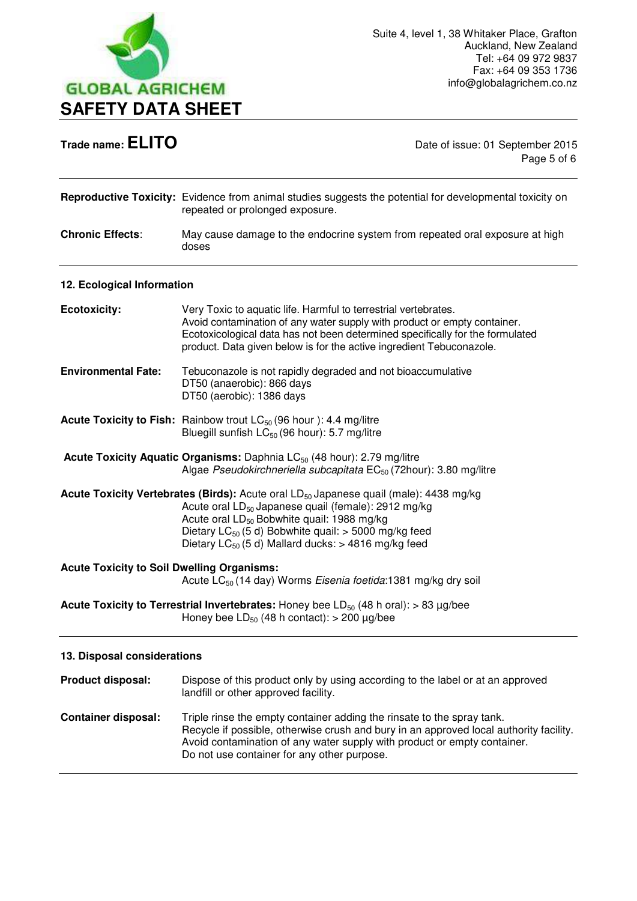

**Trade name: ELITO Date of issue: 01 September 2015** Page 5 of 6

|                                                                                                                                | <b>Reproductive Toxicity:</b> Evidence from animal studies suggests the potential for developmental toxicity on<br>repeated or prolonged exposure.                                                                                                                                                                                                                |
|--------------------------------------------------------------------------------------------------------------------------------|-------------------------------------------------------------------------------------------------------------------------------------------------------------------------------------------------------------------------------------------------------------------------------------------------------------------------------------------------------------------|
| <b>Chronic Effects:</b>                                                                                                        | May cause damage to the endocrine system from repeated oral exposure at high<br>doses                                                                                                                                                                                                                                                                             |
| 12. Ecological Information                                                                                                     |                                                                                                                                                                                                                                                                                                                                                                   |
| <b>Ecotoxicity:</b>                                                                                                            | Very Toxic to aquatic life. Harmful to terrestrial vertebrates.<br>Avoid contamination of any water supply with product or empty container.<br>Ecotoxicological data has not been determined specifically for the formulated<br>product. Data given below is for the active ingredient Tebuconazole.                                                              |
| <b>Environmental Fate:</b>                                                                                                     | Tebuconazole is not rapidly degraded and not bioaccumulative<br>DT50 (anaerobic): 866 days<br>DT50 (aerobic): 1386 days                                                                                                                                                                                                                                           |
|                                                                                                                                | <b>Acute Toxicity to Fish:</b> Rainbow trout $LC_{50}$ (96 hour ): 4.4 mg/litre<br>Bluegill sunfish LC <sub>50</sub> (96 hour): 5.7 mg/litre                                                                                                                                                                                                                      |
|                                                                                                                                | <b>Acute Toxicity Aquatic Organisms:</b> Daphnia LC <sub>50</sub> (48 hour): 2.79 mg/litre<br>Algae Pseudokirchneriella subcapitata EC <sub>50</sub> (72hour): 3.80 mg/litre                                                                                                                                                                                      |
|                                                                                                                                | <b>Acute Toxicity Vertebrates (Birds):</b> Acute oral $LD_{50}$ Japanese quail (male): 4438 mg/kg<br>Acute oral LD <sub>50</sub> Japanese quail (female): 2912 mg/kg<br>Acute oral LD <sub>50</sub> Bobwhite quail: 1988 mg/kg<br>Dietary LC $_{50}$ (5 d) Bobwhite quail: > 5000 mg/kg feed<br>Dietary LC <sub>50</sub> (5 d) Mallard ducks: $>$ 4816 mg/kg feed |
| <b>Acute Toxicity to Soil Dwelling Organisms:</b><br>Acute LC <sub>50</sub> (14 day) Worms Eisenia foetida:1381 mg/kg dry soil |                                                                                                                                                                                                                                                                                                                                                                   |
|                                                                                                                                | <b>Acute Toxicity to Terrestrial Invertebrates:</b> Honey bee $LD_{50}$ (48 h oral): > 83 µg/bee<br>Honey bee $LD_{50}$ (48 h contact): > 200 $\mu$ g/bee                                                                                                                                                                                                         |
| 13. Disposal considerations                                                                                                    |                                                                                                                                                                                                                                                                                                                                                                   |
| Product disposal:                                                                                                              | Dispose of this product only by using according to the label or at an approved<br>landfill or other approved facility.                                                                                                                                                                                                                                            |
| <b>Container disposal:</b>                                                                                                     | Triple rinse the empty container adding the rinsate to the spray tank.<br>Recycle if possible, otherwise crush and bury in an approved local authority facility.<br>Avoid contamination of any water supply with product or empty container.<br>Do not use container for any other purpose.                                                                       |